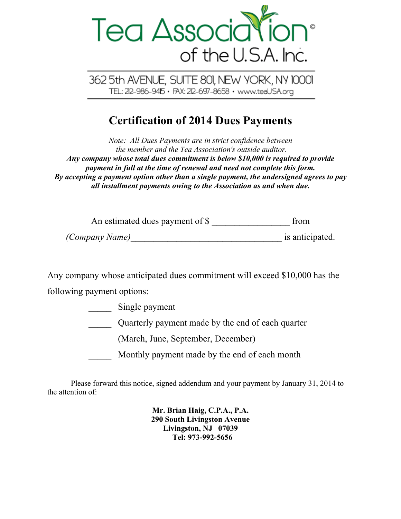

362 5th AVENUE, SUITE 801, NEW YORK, NY 10001 TEL: 212-986-9415 · FAX: 212-697-8658 · www.teaUSA.org

## **Certification of 2014 Dues Payments**

*Note: All Dues Payments are in strict confidence between the member and the Tea Association's outside auditor. Any company whose total dues commitment is below \$10,000 is required to provide payment in full at the time of renewal and need not complete this form. By accepting a payment option other than a single payment, the undersigned agrees to pay all installment payments owing to the Association as and when due.*

| An estimated dues payment of \$ | trom            |
|---------------------------------|-----------------|
| <i>(Company Name)</i>           | is anticipated. |

Any company whose anticipated dues commitment will exceed \$10,000 has the following payment options:

> Single payment \_\_\_\_\_ Quarterly payment made by the end of each quarter (March, June, September, December) Monthly payment made by the end of each month

Please forward this notice, signed addendum and your payment by January 31, 2014 to the attention of:

> **Mr. Brian Haig, C.P.A., P.A. 290 South Livingston Avenue Livingston, NJ 07039 Tel: 973-992-5656**